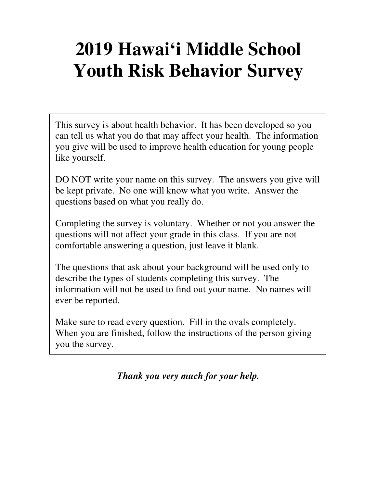# **2019 Hawai'i Middle School Youth Risk Behavior Survey**

This survey is about health behavior. It has been developed so you can tell us what you do that may affect your health. The information you give will be used to improve health education for young people like yourself.

DO NOT write your name on this survey. The answers you give will be kept private. No one will know what you write. Answer the questions based on what you really do.

Completing the survey is voluntary. Whether or not you answer the questions will not affect your grade in this class. If you are not comfortable answering a question, just leave it blank.

The questions that ask about your background will be used only to describe the types of students completing this survey. The information will not be used to find out your name. No names will ever be reported.

Make sure to read every question. Fill in the ovals completely. When you are finished, follow the instructions of the person giving you the survey.

*Thank you very much for your help.*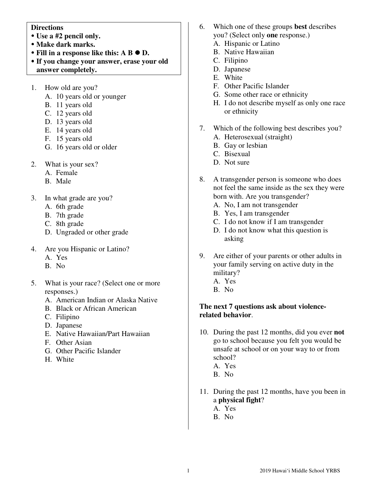#### **Directions**

- **Use a #2 pencil only.**
- **Make dark marks.**
- **Fill in a response like this: A B D.**
- **If you change your answer, erase your old answer completely.**
- 1. How old are you?
	- A. 10 years old or younger
	- B. 11 years old
	- C. 12 years old
	- D. 13 years old
	- E. 14 years old
	- F. 15 years old
	- G. 16 years old or older
- 2. What is your sex?
	- A. Female
	- B. Male
- 3. In what grade are you?
	- A. 6th grade
	- B. 7th grade
	- C. 8th grade
	- D. Ungraded or other grade
- 4. Are you Hispanic or Latino?
	- A. Yes
	- B. No
- 5. What is your race? (Select one or more responses.)
	- A. American Indian or Alaska Native
	- B. Black or African American
	- C. Filipino
	- D. Japanese
	- E. Native Hawaiian/Part Hawaiian
	- F. Other Asian
	- G. Other Pacific Islander
	- H. White
- 6. Which one of these groups **best** describes you? (Select only **one** response.)
	- A. Hispanic or Latino
	- B. Native Hawaiian
	- C. Filipino
	- D. Japanese
	- E. White
	- F. Other Pacific Islander
	- G. Some other race or ethnicity
	- H. I do not describe myself as only one race or ethnicity
- 7. Which of the following best describes you? A. Heterosexual (straight)
	- B. Gay or lesbian
	- C. Bisexual
	- D. Not sure
- 8. A transgender person is someone who does not feel the same inside as the sex they were born with. Are you transgender?
	- A. No, I am not transgender
	- B. Yes, I am transgender
	- C. I do not know if I am transgender
	- D. I do not know what this question is asking
- 9. Are either of your parents or other adults in your family serving on active duty in the military? A. Yes
	- B. No
	-

#### **The next 7 questions ask about violencerelated behavior**.

- 10. During the past 12 months, did you ever **not**  go to school because you felt you would be unsafe at school or on your way to or from school?
	- A. Yes
	- B. No
- 11. During the past 12 months, have you been in a **physical fight**?
	- A. Yes B. No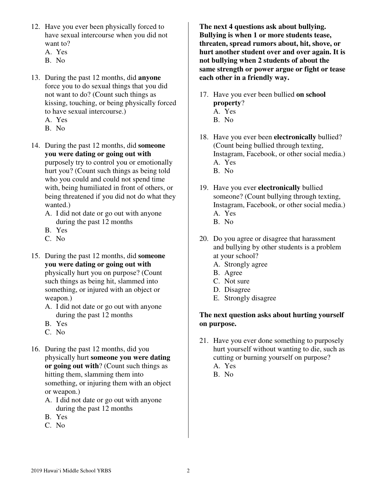- 12. Have you ever been physically forced to have sexual intercourse when you did not want to?
	- A. Yes
	- B. No
- 13. During the past 12 months, did **anyone** force you to do sexual things that you did not want to do? (Count such things as kissing, touching, or being physically forced to have sexual intercourse.) A. Yes
	- B. No
	-
- 14. During the past 12 months, did **someone you were dating or going out with** purposely try to control you or emotionally hurt you? (Count such things as being told who you could and could not spend time with, being humiliated in front of others, or being threatened if you did not do what they wanted.)
	- A. I did not date or go out with anyone during the past 12 months
	- B. Yes
	- C. No
- 15. During the past 12 months, did **someone you were dating or going out with** physically hurt you on purpose? (Count such things as being hit, slammed into something, or injured with an object or weapon.)
	- A. I did not date or go out with anyone during the past 12 months
	- B. Yes
	- C. No
- 16. During the past 12 months, did you physically hurt **someone you were dating or going out with**? (Count such things as hitting them, slamming them into something, or injuring them with an object or weapon.)
	- A. I did not date or go out with anyone during the past 12 months
	- B. Yes
	- C. No

**The next 4 questions ask about bullying. Bullying is when 1 or more students tease, threaten, spread rumors about, hit, shove, or hurt another student over and over again. It is not bullying when 2 students of about the same strength or power argue or fight or tease each other in a friendly way.** 

- 17. Have you ever been bullied **on school property**?
	- A. Yes
	- B. No
- 18. Have you ever been **electronically** bullied? (Count being bullied through texting, Instagram, Facebook, or other social media.) A. Yes B. No
- 19. Have you ever **electronically** bullied someone? (Count bullying through texting, Instagram, Facebook, or other social media.)
	- A. Yes
	- B. No
- 20. Do you agree or disagree that harassment and bullying by other students is a problem at your school?
	- A. Strongly agree
	- B. Agree
	- C. Not sure
	- D. Disagree
	- E. Strongly disagree

# **The next question asks about hurting yourself on purpose.**

- 21. Have you ever done something to purposely hurt yourself without wanting to die, such as cutting or burning yourself on purpose?
	- A. Yes
	- B. No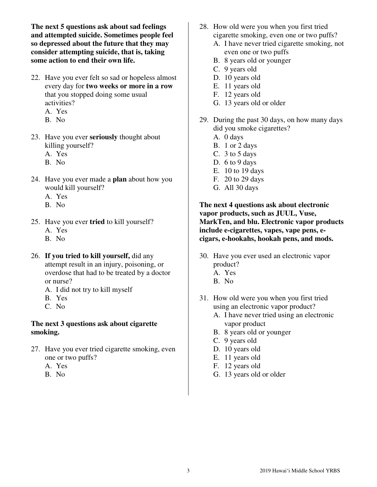**The next 5 questions ask about sad feelings and attempted suicide. Sometimes people feel so depressed about the future that they may consider attempting suicide, that is, taking some action to end their own life.** 

- 22. Have you ever felt so sad or hopeless almost every day for **two weeks or more in a row** that you stopped doing some usual activities?
	- A. Yes
	- B. No
- 23. Have you ever **seriously** thought about killing yourself?
	- A. Yes
	- B. No
- 24. Have you ever made a **plan** about how you would kill yourself?
	- A. Yes
	- B. No
- 25. Have you ever **tried** to kill yourself?
	- A. Yes
	- B. No
- 26. **If you tried to kill yourself,** did any attempt result in an injury, poisoning, or overdose that had to be treated by a doctor or nurse?
	- A. I did not try to kill myself
	- B. Yes
	- C. No

#### **The next 3 questions ask about cigarette smoking.**

- 27. Have you ever tried cigarette smoking, even one or two puffs?
	- A. Yes
	- B. No
- 28. How old were you when you first tried cigarette smoking, even one or two puffs?
	- A. I have never tried cigarette smoking, not even one or two puffs
	- B. 8 years old or younger
	- C. 9 years old
	- D. 10 years old
	- E. 11 years old
	- F. 12 years old
	- G. 13 years old or older
- 29. During the past 30 days, on how many days did you smoke cigarettes?
	- A. 0 days
	- B. 1 or 2 days
	- C. 3 to 5 days
	- D. 6 to 9 days
	- E. 10 to 19 days
	- F. 20 to 29 days
	- G. All 30 days

### **The next 4 questions ask about electronic vapor products, such as JUUL, Vuse, MarkTen, and blu. Electronic vapor products include e-cigarettes, vapes, vape pens, ecigars, e-hookahs, hookah pens, and mods.**

- 30. Have you ever used an electronic vapor product?
	- A. Yes
	- B. No
- 31. How old were you when you first tried using an electronic vapor product?
	- A. I have never tried using an electronic vapor product
	- B. 8 years old or younger
	- C. 9 years old
	- D. 10 years old
	- E. 11 years old
	- F. 12 years old
	- G. 13 years old or older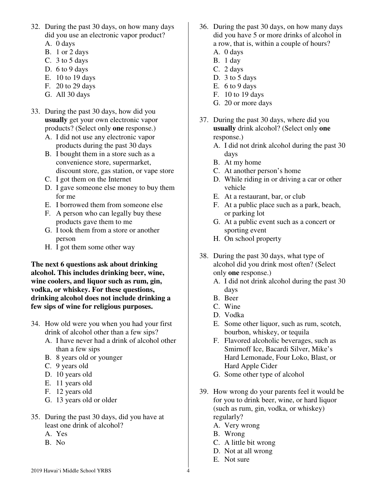- 32. During the past 30 days, on how many days did you use an electronic vapor product?
	- A. 0 days
	- B. 1 or 2 days
	- C. 3 to 5 days
	- D. 6 to 9 days
	- E. 10 to 19 days
	- F. 20 to 29 days
	- G. All 30 days
- 33. During the past 30 days, how did you **usually** get your own electronic vapor products? (Select only **one** response.)
	- A. I did not use any electronic vapor products during the past 30 days
	- B. I bought them in a store such as a convenience store, supermarket, discount store, gas station, or vape store
	- C. I got them on the Internet
	- D. I gave someone else money to buy them for me
	- E. I borrowed them from someone else
	- F. A person who can legally buy these products gave them to me
	- G. I took them from a store or another person
	- H. I got them some other way

**The next 6 questions ask about drinking alcohol. This includes drinking beer, wine, wine coolers, and liquor such as rum, gin, vodka, or whiskey. For these questions, drinking alcohol does not include drinking a few sips of wine for religious purposes.** 

- 34. How old were you when you had your first drink of alcohol other than a few sips?
	- A. I have never had a drink of alcohol other than a few sips
	- B. 8 years old or younger
	- C. 9 years old
	- D. 10 years old
	- E. 11 years old
	- F. 12 years old
	- G. 13 years old or older
- 35. During the past 30 days, did you have at least one drink of alcohol?
	- A. Yes
	- B. No
- 36. During the past 30 days, on how many days did you have 5 or more drinks of alcohol in a row, that is, within a couple of hours?
	- A. 0 days
	- B. 1 day
	- C. 2 days
	- D. 3 to 5 days
	- E. 6 to 9 days
	- F. 10 to 19 days
	- G. 20 or more days
- 37. During the past 30 days, where did you **usually** drink alcohol? (Select only **one** response.)
	- A. I did not drink alcohol during the past 30 days
	- B. At my home
	- C. At another person's home
	- D. While riding in or driving a car or other vehicle
	- E. At a restaurant, bar, or club
	- F. At a public place such as a park, beach, or parking lot
	- G. At a public event such as a concert or sporting event
	- H. On school property
- 38. During the past 30 days, what type of alcohol did you drink most often? (Select only **one** response.)
	- A. I did not drink alcohol during the past 30 days
	- B. Beer
	- C. Wine
	- D. Vodka
	- E. Some other liquor, such as rum, scotch, bourbon, whiskey, or tequila
	- F. Flavored alcoholic beverages, such as Smirnoff Ice, Bacardi Silver, Mike's Hard Lemonade, Four Loko, Blast, or Hard Apple Cider
	- G. Some other type of alcohol
- 39. How wrong do your parents feel it would be for you to drink beer, wine, or hard liquor (such as rum, gin, vodka, or whiskey) regularly?
	- A. Very wrong
	- B. Wrong
	- C. A little bit wrong
	- D. Not at all wrong
	- E. Not sure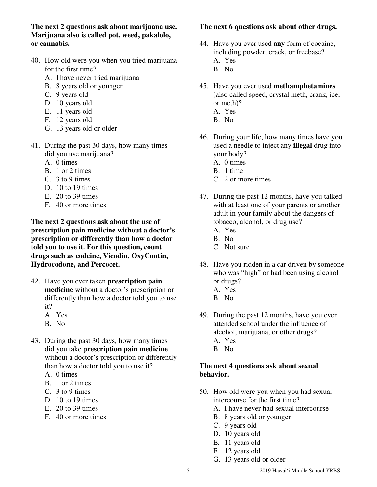**The next 2 questions ask about marijuana use. Marijuana also is called pot, weed, pakal**ō**l**ō**, or cannabis.**

- 40. How old were you when you tried marijuana for the first time?
	- A. I have never tried marijuana
	- B. 8 years old or younger
	- C. 9 years old
	- D. 10 years old
	- E. 11 years old
	- F. 12 years old
	- G. 13 years old or older
- 41. During the past 30 days, how many times did you use marijuana?
	- A. 0 times
	- B. 1 or 2 times
	- C. 3 to 9 times
	- D. 10 to 19 times
	- E. 20 to 39 times
	- F. 40 or more times

**The next 2 questions ask about the use of prescription pain medicine without a doctor's prescription or differently than how a doctor told you to use it. For this question, count drugs such as codeine, Vicodin, OxyContin, Hydrocodone, and Percocet.** 

- 42. Have you ever taken **prescription pain medicine** without a doctor's prescription or differently than how a doctor told you to use it?
	- A. Yes
	- B. No
- 43. During the past 30 days, how many times did you take **prescription pain medicine** without a doctor's prescription or differently than how a doctor told you to use it?
	- A. 0 times
	- B. 1 or 2 times
	- $C<sub>c</sub>$  3 to 9 times
	- D. 10 to 19 times
	- E. 20 to 39 times
	- F. 40 or more times

#### **The next 6 questions ask about other drugs.**

- 44. Have you ever used **any** form of cocaine, including powder, crack, or freebase? A. Yes
	- B. No
- 45. Have you ever used **methamphetamines** (also called speed, crystal meth, crank, ice, or meth)?
	- A. Yes
	- B. No
- 46. During your life, how many times have you used a needle to inject any **illegal** drug into your body?
	- A. 0 times
	- B. 1 time
	- C. 2 or more times
- 47. During the past 12 months, have you talked with at least one of your parents or another adult in your family about the dangers of tobacco, alcohol, or drug use?
	- A. Yes
	- B. No
	- C. Not sure
- 48. Have you ridden in a car driven by someone who was "high" or had been using alcohol or drugs?
	- A. Yes
	- B. No
- 49. During the past 12 months, have you ever attended school under the influence of alcohol, marijuana, or other drugs? A. Yes
	- B. No

### **The next 4 questions ask about sexual behavior.**

- 50. How old were you when you had sexual intercourse for the first time?
	- A. I have never had sexual intercourse
	- B. 8 years old or younger
	- C. 9 years old
	- D. 10 years old
	- E. 11 years old
	- F. 12 years old
	- G. 13 years old or older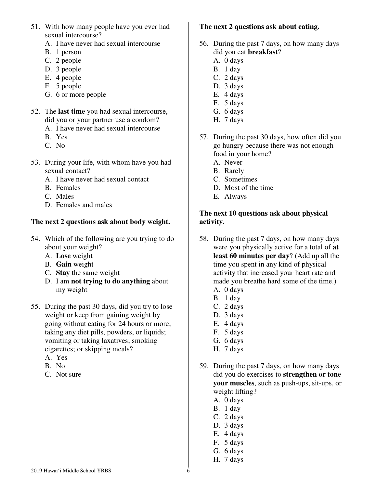- 51. With how many people have you ever had sexual intercourse?
	- A. I have never had sexual intercourse
	- B. 1 person
	- C. 2 people
	- D. 3 people
	- E. 4 people
	- F. 5 people
	- G. 6 or more people
- 52. The **last time** you had sexual intercourse, did you or your partner use a condom?
	- A. I have never had sexual intercourse
	- B. Yes
	- C. No
- 53. During your life, with whom have you had sexual contact?
	- A. I have never had sexual contact
	- B. Females
	- C. Males
	- D. Females and males

# **The next 2 questions ask about body weight.**

- 54. Which of the following are you trying to do about your weight?
	- A. **Lose** weight
	- B. **Gain** weight
	- C. **Stay** the same weight
	- D. I am **not trying to do anything** about my weight
- 55. During the past 30 days, did you try to lose weight or keep from gaining weight by going without eating for 24 hours or more; taking any diet pills, powders, or liquids; vomiting or taking laxatives; smoking cigarettes; or skipping meals?
	- A. Yes
	- B. No
	- C. Not sure

# **The next 2 questions ask about eating.**

- 56. During the past 7 days, on how many days did you eat **breakfast**?
	- A. 0 days
	- B. 1 day
	- C. 2 days
	- D. 3 days
	- E. 4 days
	- F. 5 days
	- G. 6 days
	- H. 7 days
- 57. During the past 30 days, how often did you go hungry because there was not enough food in your home?
	- A. Never
	- B. Rarely
	- C. Sometimes
	- D. Most of the time
	- E. Always

## **The next 10 questions ask about physical activity.**

- 58. During the past 7 days, on how many days were you physically active for a total of **at least 60 minutes per day**? (Add up all the time you spent in any kind of physical activity that increased your heart rate and made you breathe hard some of the time.) A. 0 days
	-
	- B. 1 day
	- C. 2 days D. 3 days
	- E. 4 days
	- F. 5 days
	- G. 6 days
	- H. 7 days
- 59. During the past 7 days, on how many days did you do exercises to **strengthen or tone your muscles**, such as push-ups, sit-ups, or weight lifting?
	- A. 0 days
	- B. 1 day
	- C. 2 days
	- D. 3 days
	- E. 4 days
	- F. 5 days
	- G. 6 days
	- H. 7 days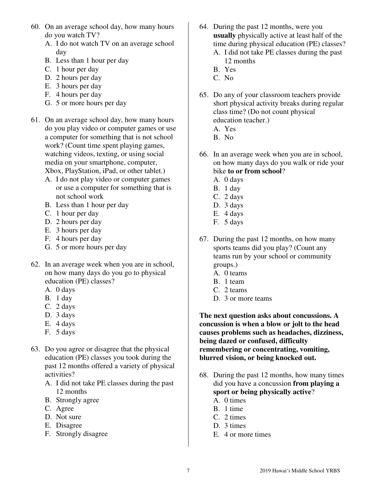- 60. On an average school day, how many hours do you watch TV?
	- A. I do not watch TV on an average school day
	- B. Less than 1 hour per day
	- C. 1 hour per day
	- D. 2 hours per day
	- E. 3 hours per day
	- F. 4 hours per day
	- G. 5 or more hours per day
- 61. On an average school day, how many hours do you play video or computer games or use a computer for something that is not school work? (Count time spent playing games, watching videos, texting, or using social media on your smartphone, computer, Xbox, PlayStation, iPad, or other tablet.)
	- A. I do not play video or computer games
	- or use a computer for something that is not school work
	- B. Less than 1 hour per day
	- C. 1 hour per day
	- D. 2 hours per day
	- E. 3 hours per day
	- F. 4 hours per day
	- G. 5 or more hours per day
- 62. In an average week when you are in school, on how many days do you go to physical education (PE) classes?
	- A. 0 days
	- B. 1 day
	- C. 2 days
	- D. 3 days
	- E. 4 days
	- F. 5 days
- 63. Do you agree or disagree that the physical education (PE) classes you took during the past 12 months offered a variety of physical activities?
	- A. I did not take PE classes during the past 12 months
	- B. Strongly agree
	- C. Agree
	- D. Not sure
	- E. Disagree
	- F. Strongly disagree
- 64. During the past 12 months, were you **usually** physically active at least half of the time during physical education (PE) classes?
	- A. I did not take PE classes during the past 12 months
	- B. Yes
	- C. No
- 65. Do any of your classroom teachers provide short physical activity breaks during regular class time? (Do not count physical education teacher.)
	- A. Yes
	- B. No
- 66. In an average week when you are in school, on how many days do you walk or ride your bike **to or from school**?
	- A. 0 days
	- B. 1 day
	- C. 2 days
	- D. 3 days
	- E. 4 days
	- F. 5 days
- 67. During the past 12 months, on how many sports teams did you play? (Count any teams run by your school or community groups.)
	- A. 0 teams
	- B. 1 team
	- C. 2 teams
	- D. 3 or more teams

**The next question asks about concussions. A concussion is when a blow or jolt to the head causes problems such as headaches, dizziness, being dazed or confused, difficulty remembering or concentrating, vomiting, blurred vision, or being knocked out.** 

- 68. During the past 12 months, how many times did you have a concussion **from playing a sport or being physically active**?
	- A. 0 times
	- B. 1 time
	- C. 2 times
	- D. 3 times
	- E. 4 or more times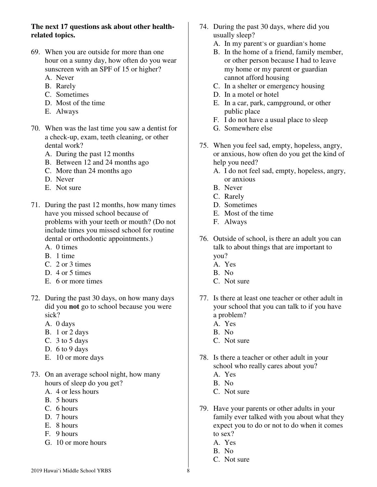## **The next 17 questions ask about other healthrelated topics.**

- 69. When you are outside for more than one hour on a sunny day, how often do you wear sunscreen with an SPF of 15 or higher?
	- A. Never
	- B. Rarely
	- C. Sometimes
	- D. Most of the time
	- E. Always
- 70. When was the last time you saw a dentist for a check-up, exam, teeth cleaning, or other dental work?
	- A. During the past 12 months
	- B. Between 12 and 24 months ago
	- C. More than 24 months ago
	- D. Never
	- E. Not sure
- 71. During the past 12 months, how many times have you missed school because of problems with your teeth or mouth? (Do not include times you missed school for routine dental or orthodontic appointments.)
	- A. 0 times
	- B. 1 time
	- C. 2 or 3 times
	- D. 4 or 5 times
	- E. 6 or more times
- 72. During the past 30 days, on how many days did you **not** go to school because you were sick?
	- A. 0 days
	- B. 1 or 2 days
	- C. 3 to 5 days
	- D. 6 to 9 days
	- E. 10 or more days
- 73. On an average school night, how many hours of sleep do you get?
	- A. 4 or less hours
	- B. 5 hours
	- C. 6 hours
	- D. 7 hours
	- E. 8 hours
	- F. 9 hours
	- G. 10 or more hours
- 74. During the past 30 days, where did you usually sleep?
	- A. In my parent's or guardian's home
	- B. In the home of a friend, family member, or other person because I had to leave my home or my parent or guardian cannot afford housing
	- C. In a shelter or emergency housing
	- D. In a motel or hotel
	- E. In a car, park, campground, or other public place
	- F. I do not have a usual place to sleep
	- G. Somewhere else
- 75. When you feel sad, empty, hopeless, angry, or anxious, how often do you get the kind of help you need?
	- A. I do not feel sad, empty, hopeless, angry, or anxious
	- B. Never
	- C. Rarely
	- D. Sometimes
	- E. Most of the time
	- F. Always
- 76. Outside of school, is there an adult you can talk to about things that are important to you?
	- A. Yes
	- B. No
	- C. Not sure
- 77. Is there at least one teacher or other adult in your school that you can talk to if you have a problem?
	- A. Yes
	- B. No
	- C. Not sure
- 78. Is there a teacher or other adult in your school who really cares about you?
	- A. Yes
	- B. No
	- C. Not sure
- 79. Have your parents or other adults in your family ever talked with you about what they expect you to do or not to do when it comes to sex?
	- A. Yes
	- B. No
	- C. Not sure